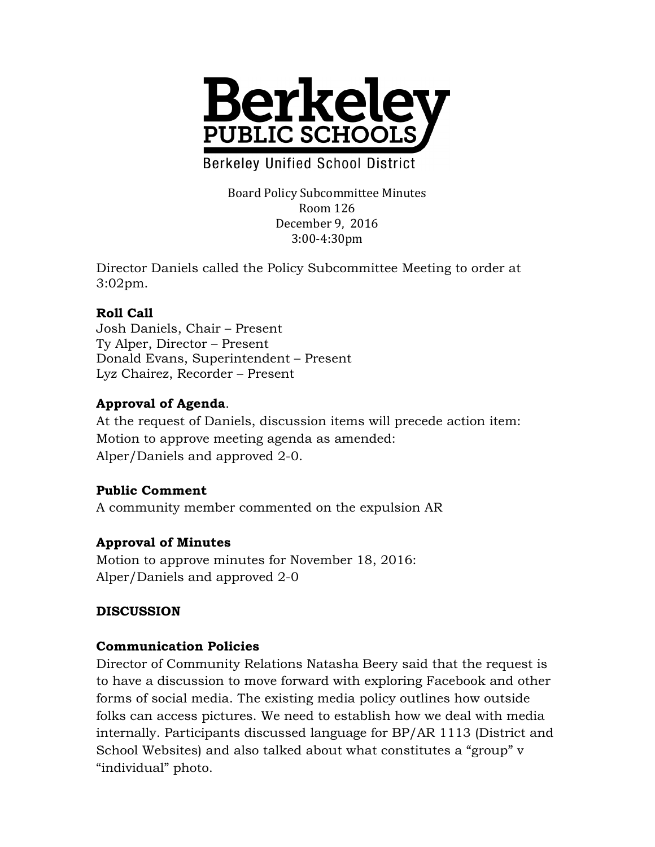

**Berkeley Unified School District** 

Board Policy Subcommittee Minutes Room 126 December 9, 2016 3:00-4:30pm

Director Daniels called the Policy Subcommittee Meeting to order at 3:02pm.

#### **Roll Call**

Josh Daniels, Chair – Present Ty Alper, Director – Present Donald Evans, Superintendent – Present Lyz Chairez, Recorder – Present

### **Approval of Agenda**.

At the request of Daniels, discussion items will precede action item: Motion to approve meeting agenda as amended: Alper/Daniels and approved 2-0.

#### **Public Comment**

A community member commented on the expulsion AR

#### **Approval of Minutes**

Motion to approve minutes for November 18, 2016: Alper/Daniels and approved 2-0

#### **DISCUSSION**

#### **Communication Policies**

Director of Community Relations Natasha Beery said that the request is to have a discussion to move forward with exploring Facebook and other forms of social media. The existing media policy outlines how outside folks can access pictures. We need to establish how we deal with media internally. Participants discussed language for BP/AR 1113 (District and School Websites) and also talked about what constitutes a "group" v "individual" photo.